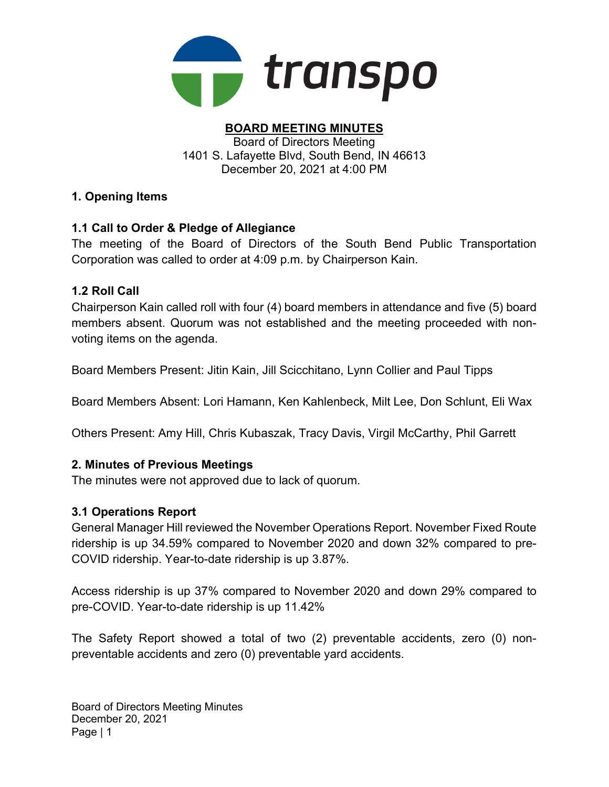

#### BOARD MEETING MINUTES Board of Directors Meeting 1401 S. Lafayette Blvd, South Bend, IN 46613 December 20, 2021 at 4:00 PM

## 1. Opening Items

## 1.1 Call to Order & Pledge of Allegiance

The meeting of the Board of Directors of the South Bend Public Transportation Corporation was called to order at 4:09 p.m. by Chairperson Kain.

## 1.2 Roll Call

Chairperson Kain called roll with four (4) board members in attendance and five (5) board members absent. Quorum was not established and the meeting proceeded with nonvoting items on the agenda.

Board Members Present: Jitin Kain, Jill Scicchitano, Lynn Collier and Paul Tipps

Board Members Absent: Lori Hamann, Ken Kahlenbeck, Milt Lee, Don Schlunt, Eli Wax

Others Present: Amy Hill, Chris Kubaszak, Tracy Davis, Virgil McCarthy, Phil Garrett

## 2. Minutes of Previous Meetings

The minutes were not approved due to lack of quorum.

## 3.1 Operations Report

General Manager Hill reviewed the November Operations Report. November Fixed Route ridership is up 34.59% compared to November 2020 and down 32% compared to pre-COVID ridership. Year-to-date ridership is up 3.87%.

Access ridership is up 37% compared to November 2020 and down 29% compared to pre-COVID. Year-to-date ridership is up 11.42%

The Safety Report showed a total of two (2) preventable accidents, zero (0) nonpreventable accidents and zero (0) preventable yard accidents.

Board of Directors Meeting Minutes December 20, 2021 Page | 1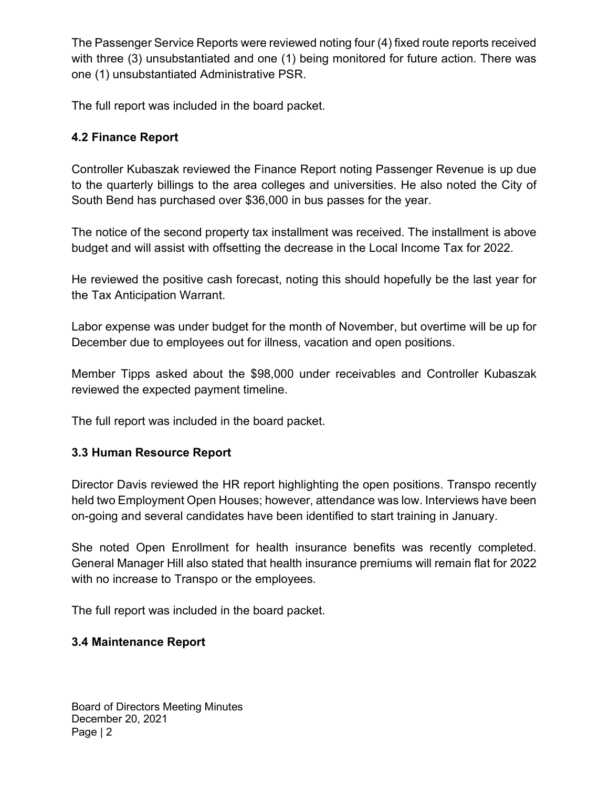The Passenger Service Reports were reviewed noting four (4) fixed route reports received with three (3) unsubstantiated and one (1) being monitored for future action. There was one (1) unsubstantiated Administrative PSR.

The full report was included in the board packet.

# 4.2 Finance Report

Controller Kubaszak reviewed the Finance Report noting Passenger Revenue is up due to the quarterly billings to the area colleges and universities. He also noted the City of South Bend has purchased over \$36,000 in bus passes for the year.

The notice of the second property tax installment was received. The installment is above budget and will assist with offsetting the decrease in the Local Income Tax for 2022.

He reviewed the positive cash forecast, noting this should hopefully be the last year for the Tax Anticipation Warrant.

Labor expense was under budget for the month of November, but overtime will be up for December due to employees out for illness, vacation and open positions.

Member Tipps asked about the \$98,000 under receivables and Controller Kubaszak reviewed the expected payment timeline.

The full report was included in the board packet.

## 3.3 Human Resource Report

Director Davis reviewed the HR report highlighting the open positions. Transpo recently held two Employment Open Houses; however, attendance was low. Interviews have been on-going and several candidates have been identified to start training in January.

She noted Open Enrollment for health insurance benefits was recently completed. General Manager Hill also stated that health insurance premiums will remain flat for 2022 with no increase to Transpo or the employees.

The full report was included in the board packet.

## 3.4 Maintenance Report

Board of Directors Meeting Minutes December 20, 2021 Page | 2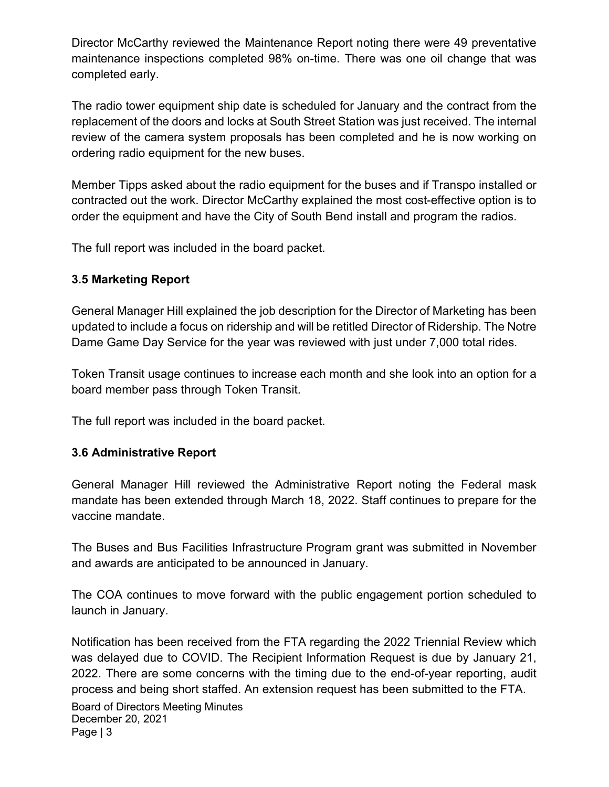Director McCarthy reviewed the Maintenance Report noting there were 49 preventative maintenance inspections completed 98% on-time. There was one oil change that was completed early.

The radio tower equipment ship date is scheduled for January and the contract from the replacement of the doors and locks at South Street Station was just received. The internal review of the camera system proposals has been completed and he is now working on ordering radio equipment for the new buses.

Member Tipps asked about the radio equipment for the buses and if Transpo installed or contracted out the work. Director McCarthy explained the most cost-effective option is to order the equipment and have the City of South Bend install and program the radios.

The full report was included in the board packet.

## 3.5 Marketing Report

General Manager Hill explained the job description for the Director of Marketing has been updated to include a focus on ridership and will be retitled Director of Ridership. The Notre Dame Game Day Service for the year was reviewed with just under 7,000 total rides.

Token Transit usage continues to increase each month and she look into an option for a board member pass through Token Transit.

The full report was included in the board packet.

## 3.6 Administrative Report

General Manager Hill reviewed the Administrative Report noting the Federal mask mandate has been extended through March 18, 2022. Staff continues to prepare for the vaccine mandate.

The Buses and Bus Facilities Infrastructure Program grant was submitted in November and awards are anticipated to be announced in January.

The COA continues to move forward with the public engagement portion scheduled to launch in January.

Board of Directors Meeting Minutes December 20, 2021 Page | 3 Notification has been received from the FTA regarding the 2022 Triennial Review which was delayed due to COVID. The Recipient Information Request is due by January 21, 2022. There are some concerns with the timing due to the end-of-year reporting, audit process and being short staffed. An extension request has been submitted to the FTA.